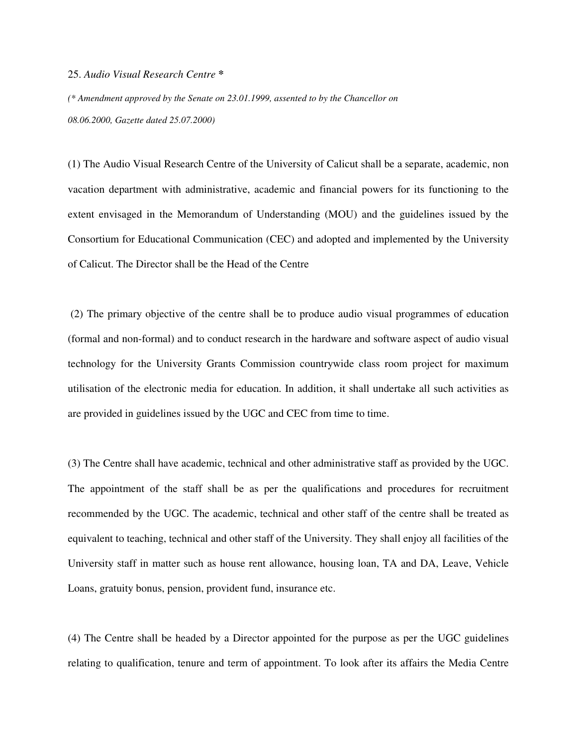## 25. *Audio Visual Research Centre* **\***

*(\* Amendment approved by the Senate on 23.01.1999, assented to by the Chancellor on 08.06.2000, Gazette dated 25.07.2000)* 

(1) The Audio Visual Research Centre of the University of Calicut shall be a separate, academic, non vacation department with administrative, academic and financial powers for its functioning to the extent envisaged in the Memorandum of Understanding (MOU) and the guidelines issued by the Consortium for Educational Communication (CEC) and adopted and implemented by the University of Calicut. The Director shall be the Head of the Centre

 (2) The primary objective of the centre shall be to produce audio visual programmes of education (formal and non-formal) and to conduct research in the hardware and software aspect of audio visual technology for the University Grants Commission countrywide class room project for maximum utilisation of the electronic media for education. In addition, it shall undertake all such activities as are provided in guidelines issued by the UGC and CEC from time to time.

(3) The Centre shall have academic, technical and other administrative staff as provided by the UGC. The appointment of the staff shall be as per the qualifications and procedures for recruitment recommended by the UGC. The academic, technical and other staff of the centre shall be treated as equivalent to teaching, technical and other staff of the University. They shall enjoy all facilities of the University staff in matter such as house rent allowance, housing loan, TA and DA, Leave, Vehicle Loans, gratuity bonus, pension, provident fund, insurance etc.

(4) The Centre shall be headed by a Director appointed for the purpose as per the UGC guidelines relating to qualification, tenure and term of appointment. To look after its affairs the Media Centre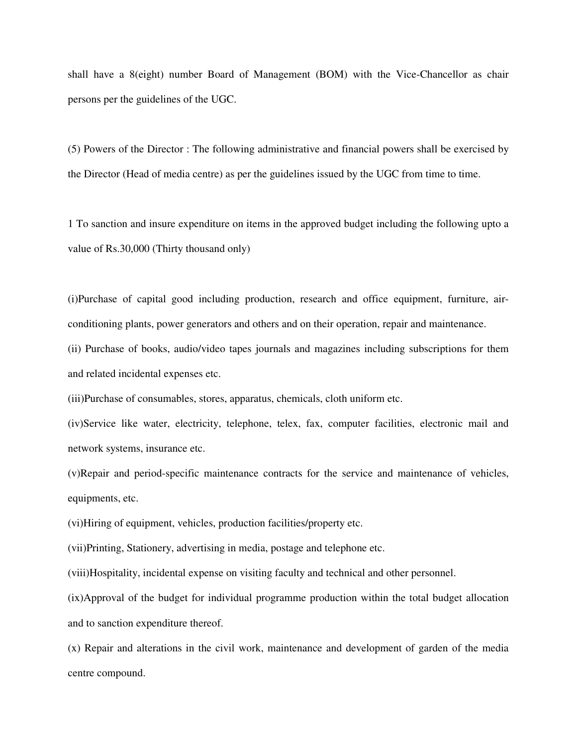shall have a 8(eight) number Board of Management (BOM) with the Vice-Chancellor as chair persons per the guidelines of the UGC.

(5) Powers of the Director : The following administrative and financial powers shall be exercised by the Director (Head of media centre) as per the guidelines issued by the UGC from time to time.

1 To sanction and insure expenditure on items in the approved budget including the following upto a value of Rs.30,000 (Thirty thousand only)

(i)Purchase of capital good including production, research and office equipment, furniture, airconditioning plants, power generators and others and on their operation, repair and maintenance.

(ii) Purchase of books, audio/video tapes journals and magazines including subscriptions for them and related incidental expenses etc.

(iii)Purchase of consumables, stores, apparatus, chemicals, cloth uniform etc.

(iv)Service like water, electricity, telephone, telex, fax, computer facilities, electronic mail and network systems, insurance etc.

(v)Repair and period-specific maintenance contracts for the service and maintenance of vehicles, equipments, etc.

(vi)Hiring of equipment, vehicles, production facilities/property etc.

(vii)Printing, Stationery, advertising in media, postage and telephone etc.

(viii)Hospitality, incidental expense on visiting faculty and technical and other personnel.

(ix)Approval of the budget for individual programme production within the total budget allocation and to sanction expenditure thereof.

(x) Repair and alterations in the civil work, maintenance and development of garden of the media centre compound.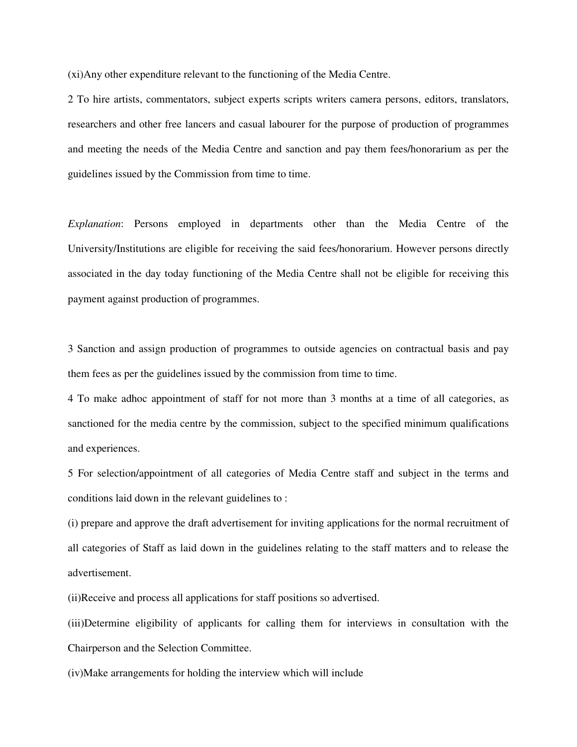(xi)Any other expenditure relevant to the functioning of the Media Centre.

2 To hire artists, commentators, subject experts scripts writers camera persons, editors, translators, researchers and other free lancers and casual labourer for the purpose of production of programmes and meeting the needs of the Media Centre and sanction and pay them fees/honorarium as per the guidelines issued by the Commission from time to time.

*Explanation*: Persons employed in departments other than the Media Centre of the University/Institutions are eligible for receiving the said fees/honorarium. However persons directly associated in the day today functioning of the Media Centre shall not be eligible for receiving this payment against production of programmes.

3 Sanction and assign production of programmes to outside agencies on contractual basis and pay them fees as per the guidelines issued by the commission from time to time.

4 To make adhoc appointment of staff for not more than 3 months at a time of all categories, as sanctioned for the media centre by the commission, subject to the specified minimum qualifications and experiences.

5 For selection/appointment of all categories of Media Centre staff and subject in the terms and conditions laid down in the relevant guidelines to :

(i) prepare and approve the draft advertisement for inviting applications for the normal recruitment of all categories of Staff as laid down in the guidelines relating to the staff matters and to release the advertisement.

(ii)Receive and process all applications for staff positions so advertised.

(iii)Determine eligibility of applicants for calling them for interviews in consultation with the Chairperson and the Selection Committee.

(iv)Make arrangements for holding the interview which will include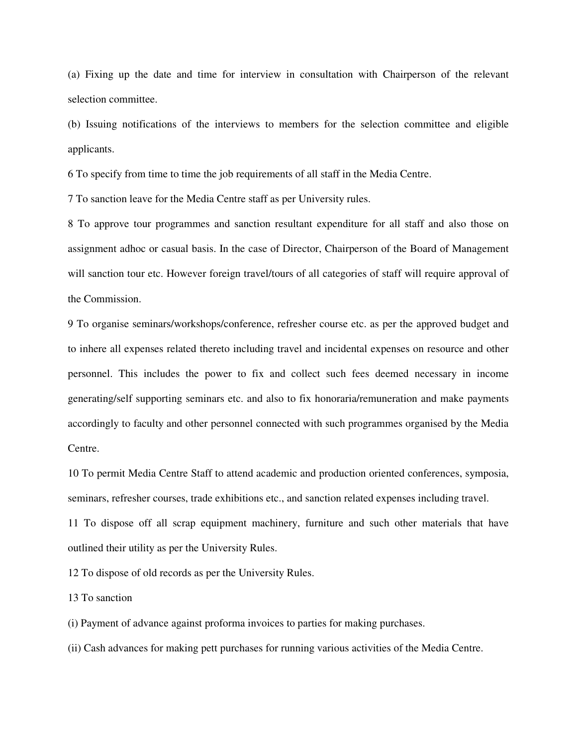(a) Fixing up the date and time for interview in consultation with Chairperson of the relevant selection committee.

(b) Issuing notifications of the interviews to members for the selection committee and eligible applicants.

6 To specify from time to time the job requirements of all staff in the Media Centre.

7 To sanction leave for the Media Centre staff as per University rules.

8 To approve tour programmes and sanction resultant expenditure for all staff and also those on assignment adhoc or casual basis. In the case of Director, Chairperson of the Board of Management will sanction tour etc. However foreign travel/tours of all categories of staff will require approval of the Commission.

9 To organise seminars/workshops/conference, refresher course etc. as per the approved budget and to inhere all expenses related thereto including travel and incidental expenses on resource and other personnel. This includes the power to fix and collect such fees deemed necessary in income generating/self supporting seminars etc. and also to fix honoraria/remuneration and make payments accordingly to faculty and other personnel connected with such programmes organised by the Media Centre.

10 To permit Media Centre Staff to attend academic and production oriented conferences, symposia, seminars, refresher courses, trade exhibitions etc., and sanction related expenses including travel.

11 To dispose off all scrap equipment machinery, furniture and such other materials that have outlined their utility as per the University Rules.

12 To dispose of old records as per the University Rules.

13 To sanction

(i) Payment of advance against proforma invoices to parties for making purchases.

(ii) Cash advances for making pett purchases for running various activities of the Media Centre.